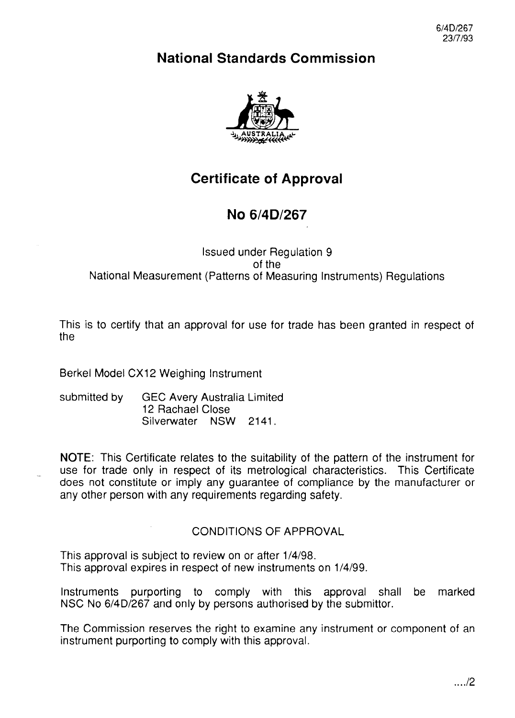6/4D/267 23/7/93

# **National Standards Commission**



# **Certificate of Approval**

# **No 6/4D/267**

### Issued under Regulation 9 of the National Measurement (Patterns of Measuring Instruments) Regulations

This is to certify that an approval for use for trade has been granted in respect of the

Berkel Model CX12 Weighing Instrument

submitted by GEC Avery Australia Limited 12 Rachael Close Silverwater NSW 2141.

NOTE: This Certificate relates to the suitability of the pattern of the instrument for use for trade only in respect of its metrological characteristics. This Certificate does not constitute or imply any guarantee of compliance by the manufacturer or any other person with any requirements regarding safety.

## CONDITIONS OF APPROVAL

This approval is subject to review on or after l/4/98. This approval expires in respect of new instruments on  $1/4/99$ .

Instruments purporting to comply with this approval shall be marked NSC No 6/4D/267 and only by persons authorised by the Submittor.

The Commission reserves the right to examine any instrument or component of an instrument purporting to comply with this approval.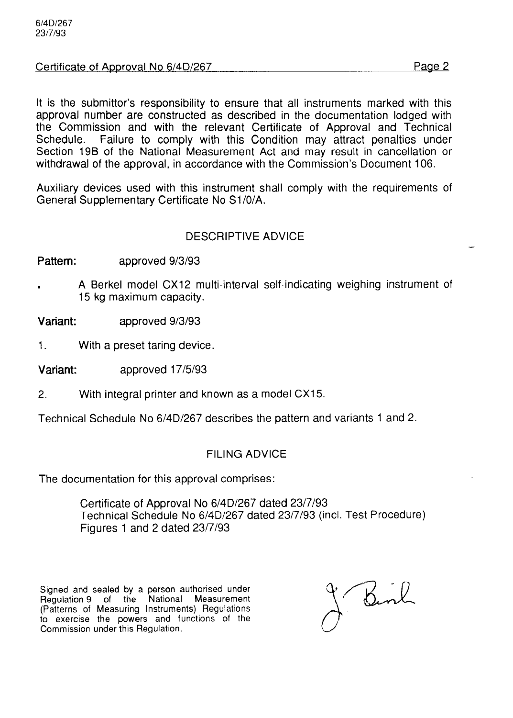#### Certificate of Approval No 6/4D/267 Page 2

It is the Submittor's responsibility to ensure that all instruments marked with this approval number are constructed as described in the documentation lodged with the Commission and with the relevant Certificate of Approval and Technical Schedule. Failure to comply with this Condition may attract penalties under Section 19B of the National Measurement Act and may result in cancellation or withdrawal of the approval, in accordance with the Commission's Document 106.

Auxiliary devices used with this instrument shall comply with the requirements of General Supplementary Certificate No Sl/O/A.

#### DESCRIPTIVE ADVICE

Pattern: approved 9/3/93

. A Berkel model CX12 multi-interval self-indicating weighing instrument of 15 kg maximum capacity.

Variant: approved g/3/93

1. With a preset taring device.

Variant: approved 17/5/93

2. With integral printer and known as a model CX15.

Technical Schedule No 6/4D/267 describes the pattern and variants 1 and 2.

#### FILING ADVICE

The documentation for this approval comprises:

Certificate of Approval No 6/4D/267 dated 23/7/93 Technical Schedule No 6/4D/267 dated 23/7/93 (incl. Test Procedure) Figures 1 and 2 dated 23/7/93

Signed and sealed by a person authorised under<br>Regulation 9 of the National Measurement Regulation 9 of the National Measuremer (Patterns of Measuring Instruments) Regulation to exercise the powers and functions of the Commission under this Regulation.

Benk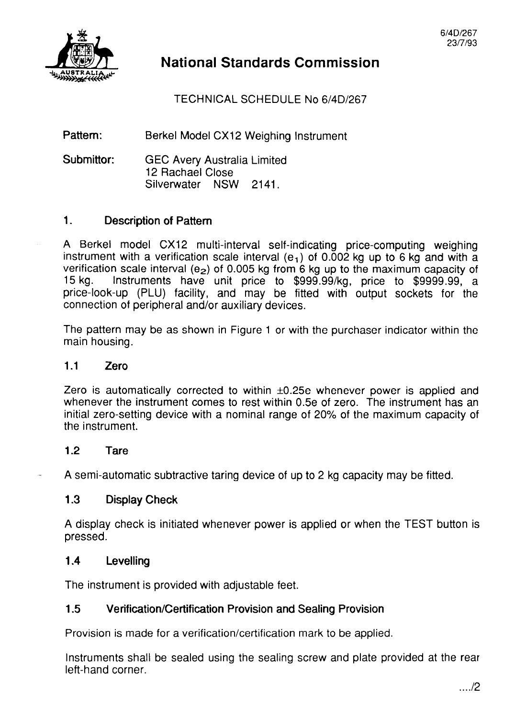# **National Standards Commission**

## TECHNICAL SCHEDULE No 6/4D/267

#### Pattern: Berkel Model CX12 Weighing Instrument

#### Submittor: GEC Avery Australia Limited 12 Rachael Close Silverwater NSW 2141.

### 1. Description of Pattern

A Berkel model CX12 multi-interval self-indicating price-computing weighing instrument with a verification scale interval ( $e_1$ ) of 0.002 kg up to 6 kg and with a verification scale interval (e<sub>2</sub>) of 0.005 kg from 6 kg up to the maximum capacity of the state of the maximum capacity of the state unit price to  $\frac{1}{3}$  or instruments have unit price to \$999.99/kg, price to \$9999.99 Instruments have unit price to \$999.99/kg, price to \$9999.99, a price-look-up (PLU) facility, and may be fitted with output sockets for the connection of peripheral and/or auxiliary devices.

The pattern may be as shown in Figure 1 or with the purchaser indicator within the main housing.

#### 1.1 Zero

Zero is automatically corrected to within  $\pm 0.25e$  whenever power is applied and whenever the instrument comes to rest within 0.5e of zero. The instrument has an initial zero-setting device with a nominal range of 20% of the maximum capacity of the instrument.

#### 1.2 Tare

A semi-automatic subtractive taring device of up to 2 kg capacity may be fitted.

#### 1.3 Display Check

A display check is initiated whenever power is applied or when the TEST button is pressed.

#### 1.4 Levelling

The instrument is provided with adjustable feet.

### 1.5 Verification/Certification Provision and Sealing Provision

Provision is made for a verification/certification mark to be applied.

Instruments shall be sealed using the sealing screw and plate provided at the rear left-hand corner.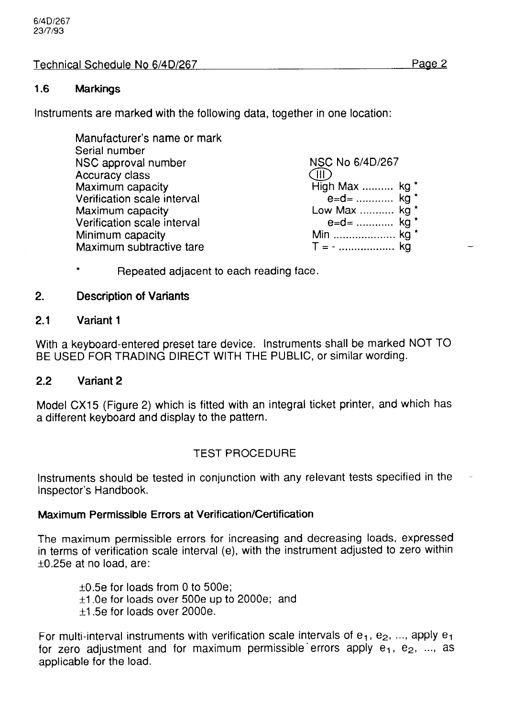## Technical Schedule No 6/4D/267 Page 2

## 1.6 Markings

Instruments are marked with the following data, together in one location:

| High Max  kg * |
|----------------|
| $e = d =$ kg * |
| Low Max  kg *  |
| $e = d =$ kg * |
| Min  kg *      |
|                |
|                |

Repeated adjacent to each reading face.

## 2. Description of Variants

## 2.1 Variant 1

With a keyboard-entered preset tare device. Instruments shall be marked NOT TO BE USED FOR TRADING DIRECT WITH THE PUBLIC, or similar wording.

## 2.2 Variant 2

Model CX15 (Figure 2) which is fitted with an integral ticket printer, and which has a different keyboard and display to the pattern.

## TEST PROCEDURE

Instruments should be tested in conjunction with any relevant tests specified in the Inspector's Handbook.

## Maximum Permissible Errors at Verification/Certification

The maximum permissible errors for increasing and decreasing loads, expressed in terms of verification scale interval (e), with the instrument adjusted to zero within +0.25e at no load, are:

 $\pm$ 0.5e for loads from 0 to 500e;  $\pm$ 1.0e for loads over 500e up to 2000e; and  $\pm$ 1.5e for loads over 2000e.

For multi-interval instruments with verification scale intervals of  $e_1$ ,  $e_2$ , ..., apply  $e_1$ for zero adjustment and for maximum permissible errors apply  $e_1$ ,  $e_2$ , ..., as applicable for the load.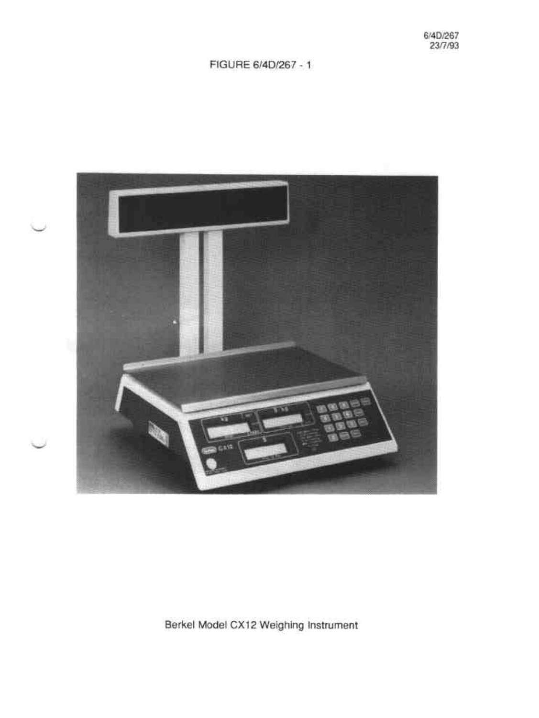## FIGURE 6/4D/267 - 1



Berkel Model CX12 Weighing Instrument